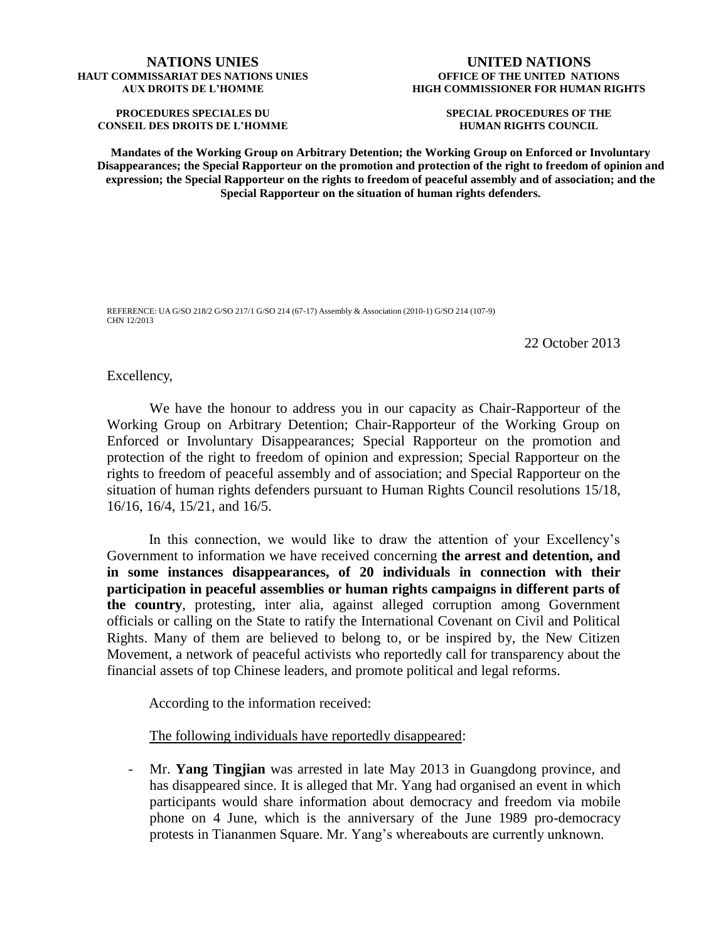## **NATIONS UNIES HAUT COMMISSARIAT DES NATIONS UNIES AUX DROITS DE L'HOMME**

**PROCEDURES SPECIALES DU CONSEIL DES DROITS DE L'HOMME**

## **UNITED NATIONS OFFICE OF THE UNITED NATIONS HIGH COMMISSIONER FOR HUMAN RIGHTS**

**SPECIAL PROCEDURES OF THE HUMAN RIGHTS COUNCIL**

**Mandates of the Working Group on Arbitrary Detention; the Working Group on Enforced or Involuntary Disappearances; the Special Rapporteur on the promotion and protection of the right to freedom of opinion and expression; the Special Rapporteur on the rights to freedom of peaceful assembly and of association; and the Special Rapporteur on the situation of human rights defenders.**

REFERENCE: UA G/SO 218/2 G/SO 217/1 G/SO 214 (67-17) Assembly & Association (2010-1) G/SO 214 (107-9) CHN 12/2013

22 October 2013

## Excellency,

We have the honour to address you in our capacity as Chair-Rapporteur of the Working Group on Arbitrary Detention; Chair-Rapporteur of the Working Group on Enforced or Involuntary Disappearances; Special Rapporteur on the promotion and protection of the right to freedom of opinion and expression; Special Rapporteur on the rights to freedom of peaceful assembly and of association; and Special Rapporteur on the situation of human rights defenders pursuant to Human Rights Council resolutions 15/18, 16/16, 16/4, 15/21, and 16/5.

In this connection, we would like to draw the attention of your Excellency's Government to information we have received concerning **the arrest and detention, and in some instances disappearances, of 20 individuals in connection with their participation in peaceful assemblies or human rights campaigns in different parts of the country**, protesting, inter alia, against alleged corruption among Government officials or calling on the State to ratify the International Covenant on Civil and Political Rights. Many of them are believed to belong to, or be inspired by, the New Citizen Movement, a network of peaceful activists who reportedly call for transparency about the financial assets of top Chinese leaders, and promote political and legal reforms.

According to the information received:

The following individuals have reportedly disappeared:

- Mr. **Yang Tingjian** was arrested in late May 2013 in Guangdong province, and has disappeared since. It is alleged that Mr. Yang had organised an event in which participants would share information about democracy and freedom via mobile phone on 4 June, which is the anniversary of the June 1989 pro-democracy protests in Tiananmen Square. Mr. Yang's whereabouts are currently unknown.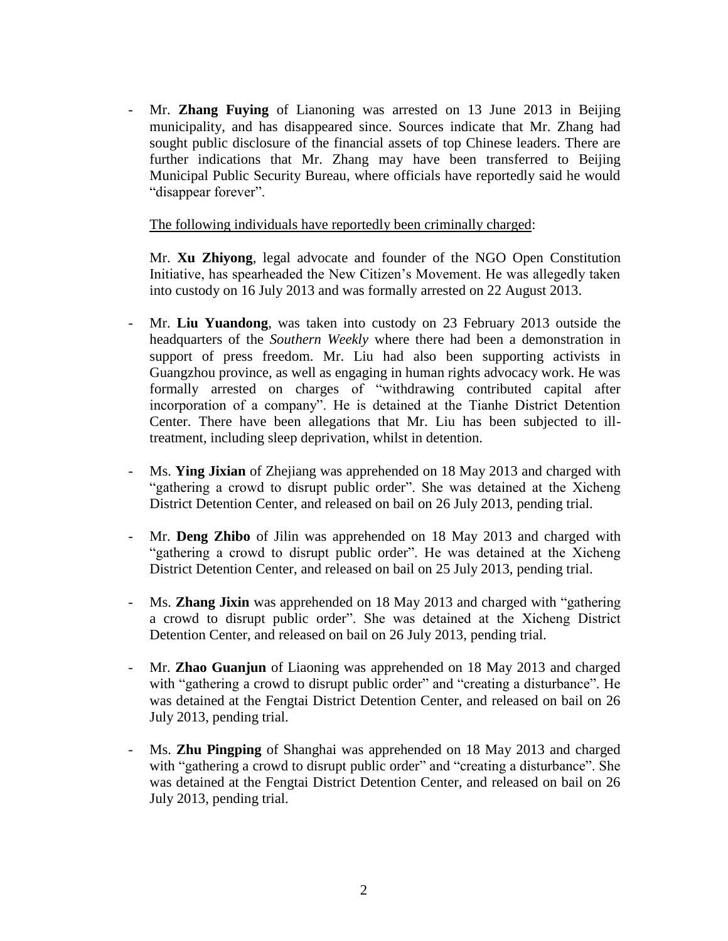- Mr. **Zhang Fuying** of Lianoning was arrested on 13 June 2013 in Beijing municipality, and has disappeared since. Sources indicate that Mr. Zhang had sought public disclosure of the financial assets of top Chinese leaders. There are further indications that Mr. Zhang may have been transferred to Beijing Municipal Public Security Bureau, where officials have reportedly said he would "disappear forever".

The following individuals have reportedly been criminally charged:

Mr. **Xu Zhiyong**, legal advocate and founder of the NGO Open Constitution Initiative, has spearheaded the New Citizen's Movement. He was allegedly taken into custody on 16 July 2013 and was formally arrested on 22 August 2013.

- Mr. **Liu Yuandong**, was taken into custody on 23 February 2013 outside the headquarters of the *Southern Weekly* where there had been a demonstration in support of press freedom. Mr. Liu had also been supporting activists in Guangzhou province, as well as engaging in human rights advocacy work. He was formally arrested on charges of "withdrawing contributed capital after incorporation of a company". He is detained at the Tianhe District Detention Center. There have been allegations that Mr. Liu has been subjected to illtreatment, including sleep deprivation, whilst in detention.
- Ms. **Ying Jixian** of Zhejiang was apprehended on 18 May 2013 and charged with "gathering a crowd to disrupt public order". She was detained at the Xicheng District Detention Center, and released on bail on 26 July 2013, pending trial.
- Mr. **Deng Zhibo** of Jilin was apprehended on 18 May 2013 and charged with "gathering a crowd to disrupt public order". He was detained at the Xicheng District Detention Center, and released on bail on 25 July 2013, pending trial.
- Ms. **Zhang Jixin** was apprehended on 18 May 2013 and charged with "gathering a crowd to disrupt public order". She was detained at the Xicheng District Detention Center, and released on bail on 26 July 2013, pending trial.
- Mr. **Zhao Guanjun** of Liaoning was apprehended on 18 May 2013 and charged with "gathering a crowd to disrupt public order" and "creating a disturbance". He was detained at the Fengtai District Detention Center, and released on bail on 26 July 2013, pending trial.
- Ms. **Zhu Pingping** of Shanghai was apprehended on 18 May 2013 and charged with "gathering a crowd to disrupt public order" and "creating a disturbance". She was detained at the Fengtai District Detention Center, and released on bail on 26 July 2013, pending trial.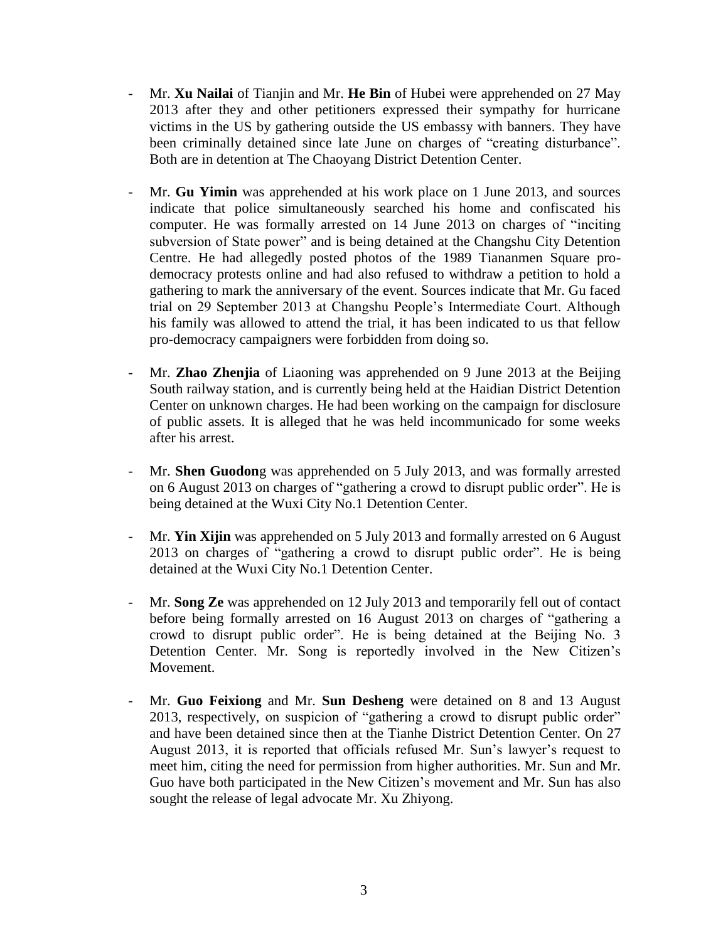- Mr. **Xu Nailai** of Tianjin and Mr. **He Bin** of Hubei were apprehended on 27 May 2013 after they and other petitioners expressed their sympathy for hurricane victims in the US by gathering outside the US embassy with banners. They have been criminally detained since late June on charges of "creating disturbance". Both are in detention at The Chaoyang District Detention Center.
- Mr. **Gu Yimin** was apprehended at his work place on 1 June 2013, and sources indicate that police simultaneously searched his home and confiscated his computer. He was formally arrested on 14 June 2013 on charges of "inciting subversion of State power" and is being detained at the Changshu City Detention Centre. He had allegedly posted photos of the 1989 Tiananmen Square prodemocracy protests online and had also refused to withdraw a petition to hold a gathering to mark the anniversary of the event. Sources indicate that Mr. Gu faced trial on 29 September 2013 at Changshu People's Intermediate Court. Although his family was allowed to attend the trial, it has been indicated to us that fellow pro-democracy campaigners were forbidden from doing so.
- Mr. **Zhao Zhenjia** of Liaoning was apprehended on 9 June 2013 at the Beijing South railway station, and is currently being held at the Haidian District Detention Center on unknown charges. He had been working on the campaign for disclosure of public assets. It is alleged that he was held incommunicado for some weeks after his arrest.
- Mr. **Shen Guodon**g was apprehended on 5 July 2013, and was formally arrested on 6 August 2013 on charges of "gathering a crowd to disrupt public order". He is being detained at the Wuxi City No.1 Detention Center.
- Mr. **Yin Xijin** was apprehended on 5 July 2013 and formally arrested on 6 August 2013 on charges of "gathering a crowd to disrupt public order". He is being detained at the Wuxi City No.1 Detention Center.
- Mr. **Song Ze** was apprehended on 12 July 2013 and temporarily fell out of contact before being formally arrested on 16 August 2013 on charges of "gathering a crowd to disrupt public order". He is being detained at the Beijing No. 3 Detention Center. Mr. Song is reportedly involved in the New Citizen's Movement.
- Mr. **Guo Feixiong** and Mr. **Sun Desheng** were detained on 8 and 13 August 2013, respectively, on suspicion of "gathering a crowd to disrupt public order" and have been detained since then at the Tianhe District Detention Center. On 27 August 2013, it is reported that officials refused Mr. Sun's lawyer's request to meet him, citing the need for permission from higher authorities. Mr. Sun and Mr. Guo have both participated in the New Citizen's movement and Mr. Sun has also sought the release of legal advocate Mr. Xu Zhiyong.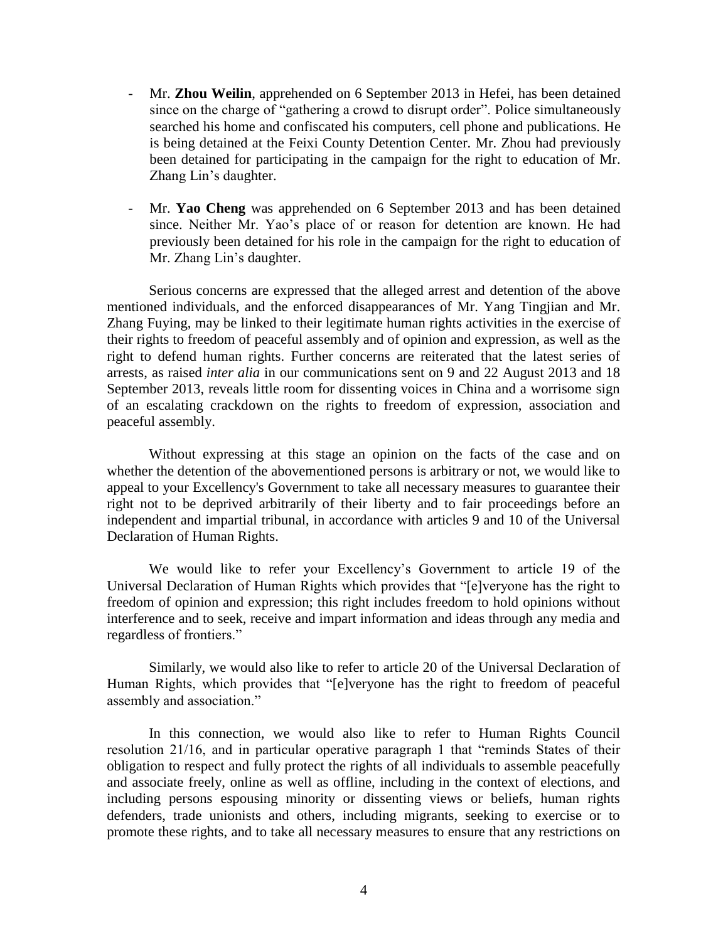- Mr. **Zhou Weilin**, apprehended on 6 September 2013 in Hefei, has been detained since on the charge of "gathering a crowd to disrupt order". Police simultaneously searched his home and confiscated his computers, cell phone and publications. He is being detained at the Feixi County Detention Center. Mr. Zhou had previously been detained for participating in the campaign for the right to education of Mr. Zhang Lin's daughter.
- Mr. Yao Cheng was apprehended on 6 September 2013 and has been detained since. Neither Mr. Yao's place of or reason for detention are known. He had previously been detained for his role in the campaign for the right to education of Mr. Zhang Lin's daughter.

Serious concerns are expressed that the alleged arrest and detention of the above mentioned individuals, and the enforced disappearances of Mr. Yang Tingjian and Mr. Zhang Fuying, may be linked to their legitimate human rights activities in the exercise of their rights to freedom of peaceful assembly and of opinion and expression, as well as the right to defend human rights. Further concerns are reiterated that the latest series of arrests, as raised *inter alia* in our communications sent on 9 and 22 August 2013 and 18 September 2013, reveals little room for dissenting voices in China and a worrisome sign of an escalating crackdown on the rights to freedom of expression, association and peaceful assembly.

Without expressing at this stage an opinion on the facts of the case and on whether the detention of the abovementioned persons is arbitrary or not, we would like to appeal to your Excellency's Government to take all necessary measures to guarantee their right not to be deprived arbitrarily of their liberty and to fair proceedings before an independent and impartial tribunal, in accordance with articles 9 and 10 of the Universal Declaration of Human Rights.

We would like to refer your Excellency's Government to article 19 of the Universal Declaration of Human Rights which provides that "[e]veryone has the right to freedom of opinion and expression; this right includes freedom to hold opinions without interference and to seek, receive and impart information and ideas through any media and regardless of frontiers."

Similarly, we would also like to refer to article 20 of the Universal Declaration of Human Rights, which provides that "[e]veryone has the right to freedom of peaceful assembly and association."

In this connection, we would also like to refer to Human Rights Council resolution 21/16, and in particular operative paragraph 1 that "reminds States of their obligation to respect and fully protect the rights of all individuals to assemble peacefully and associate freely, online as well as offline, including in the context of elections, and including persons espousing minority or dissenting views or beliefs, human rights defenders, trade unionists and others, including migrants, seeking to exercise or to promote these rights, and to take all necessary measures to ensure that any restrictions on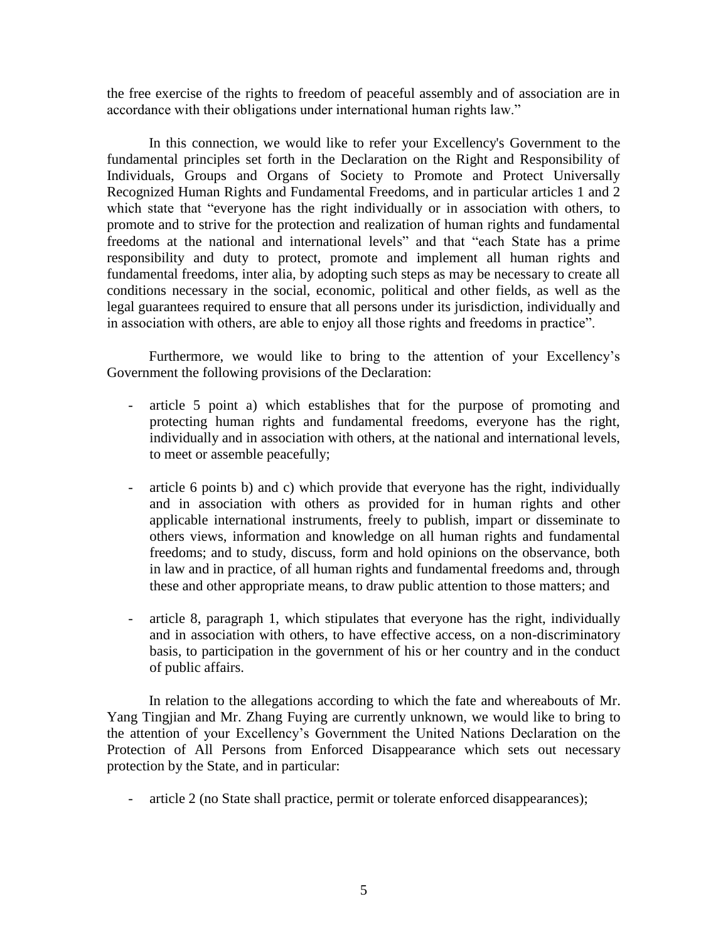the free exercise of the rights to freedom of peaceful assembly and of association are in accordance with their obligations under international human rights law."

In this connection, we would like to refer your Excellency's Government to the fundamental principles set forth in the Declaration on the Right and Responsibility of Individuals, Groups and Organs of Society to Promote and Protect Universally Recognized Human Rights and Fundamental Freedoms, and in particular articles 1 and 2 which state that "everyone has the right individually or in association with others, to promote and to strive for the protection and realization of human rights and fundamental freedoms at the national and international levels" and that "each State has a prime responsibility and duty to protect, promote and implement all human rights and fundamental freedoms, inter alia, by adopting such steps as may be necessary to create all conditions necessary in the social, economic, political and other fields, as well as the legal guarantees required to ensure that all persons under its jurisdiction, individually and in association with others, are able to enjoy all those rights and freedoms in practice".

Furthermore, we would like to bring to the attention of your Excellency's Government the following provisions of the Declaration:

- article 5 point a) which establishes that for the purpose of promoting and protecting human rights and fundamental freedoms, everyone has the right, individually and in association with others, at the national and international levels, to meet or assemble peacefully;
- article 6 points b) and c) which provide that everyone has the right, individually and in association with others as provided for in human rights and other applicable international instruments, freely to publish, impart or disseminate to others views, information and knowledge on all human rights and fundamental freedoms; and to study, discuss, form and hold opinions on the observance, both in law and in practice, of all human rights and fundamental freedoms and, through these and other appropriate means, to draw public attention to those matters; and
- article 8, paragraph 1, which stipulates that everyone has the right, individually and in association with others, to have effective access, on a non-discriminatory basis, to participation in the government of his or her country and in the conduct of public affairs.

In relation to the allegations according to which the fate and whereabouts of Mr. Yang Tingjian and Mr. Zhang Fuying are currently unknown, we would like to bring to the attention of your Excellency's Government the United Nations Declaration on the Protection of All Persons from Enforced Disappearance which sets out necessary protection by the State, and in particular:

- article 2 (no State shall practice, permit or tolerate enforced disappearances);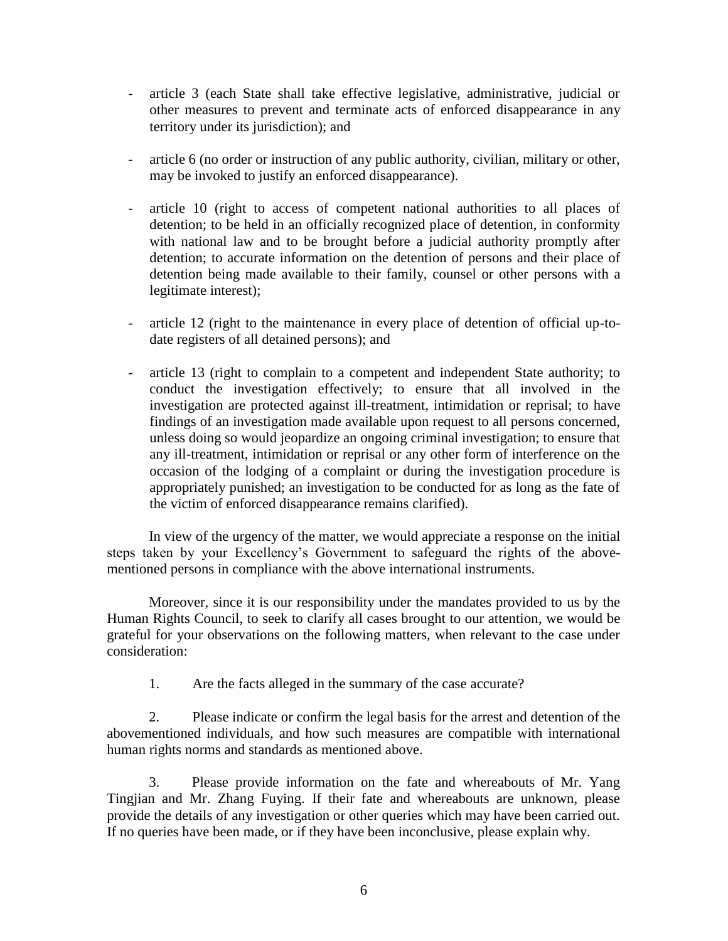- article 3 (each State shall take effective legislative, administrative, judicial or other measures to prevent and terminate acts of enforced disappearance in any territory under its jurisdiction); and
- article 6 (no order or instruction of any public authority, civilian, military or other, may be invoked to justify an enforced disappearance).
- article 10 (right to access of competent national authorities to all places of detention; to be held in an officially recognized place of detention, in conformity with national law and to be brought before a judicial authority promptly after detention; to accurate information on the detention of persons and their place of detention being made available to their family, counsel or other persons with a legitimate interest);
- article 12 (right to the maintenance in every place of detention of official up-todate registers of all detained persons); and
- article 13 (right to complain to a competent and independent State authority; to conduct the investigation effectively; to ensure that all involved in the investigation are protected against ill-treatment, intimidation or reprisal; to have findings of an investigation made available upon request to all persons concerned, unless doing so would jeopardize an ongoing criminal investigation; to ensure that any ill-treatment, intimidation or reprisal or any other form of interference on the occasion of the lodging of a complaint or during the investigation procedure is appropriately punished; an investigation to be conducted for as long as the fate of the victim of enforced disappearance remains clarified).

In view of the urgency of the matter, we would appreciate a response on the initial steps taken by your Excellency's Government to safeguard the rights of the abovementioned persons in compliance with the above international instruments.

Moreover, since it is our responsibility under the mandates provided to us by the Human Rights Council, to seek to clarify all cases brought to our attention, we would be grateful for your observations on the following matters, when relevant to the case under consideration:

1. Are the facts alleged in the summary of the case accurate?

2. Please indicate or confirm the legal basis for the arrest and detention of the abovementioned individuals, and how such measures are compatible with international human rights norms and standards as mentioned above.

3. Please provide information on the fate and whereabouts of Mr. Yang Tingjian and Mr. Zhang Fuying. If their fate and whereabouts are unknown, please provide the details of any investigation or other queries which may have been carried out. If no queries have been made, or if they have been inconclusive, please explain why.